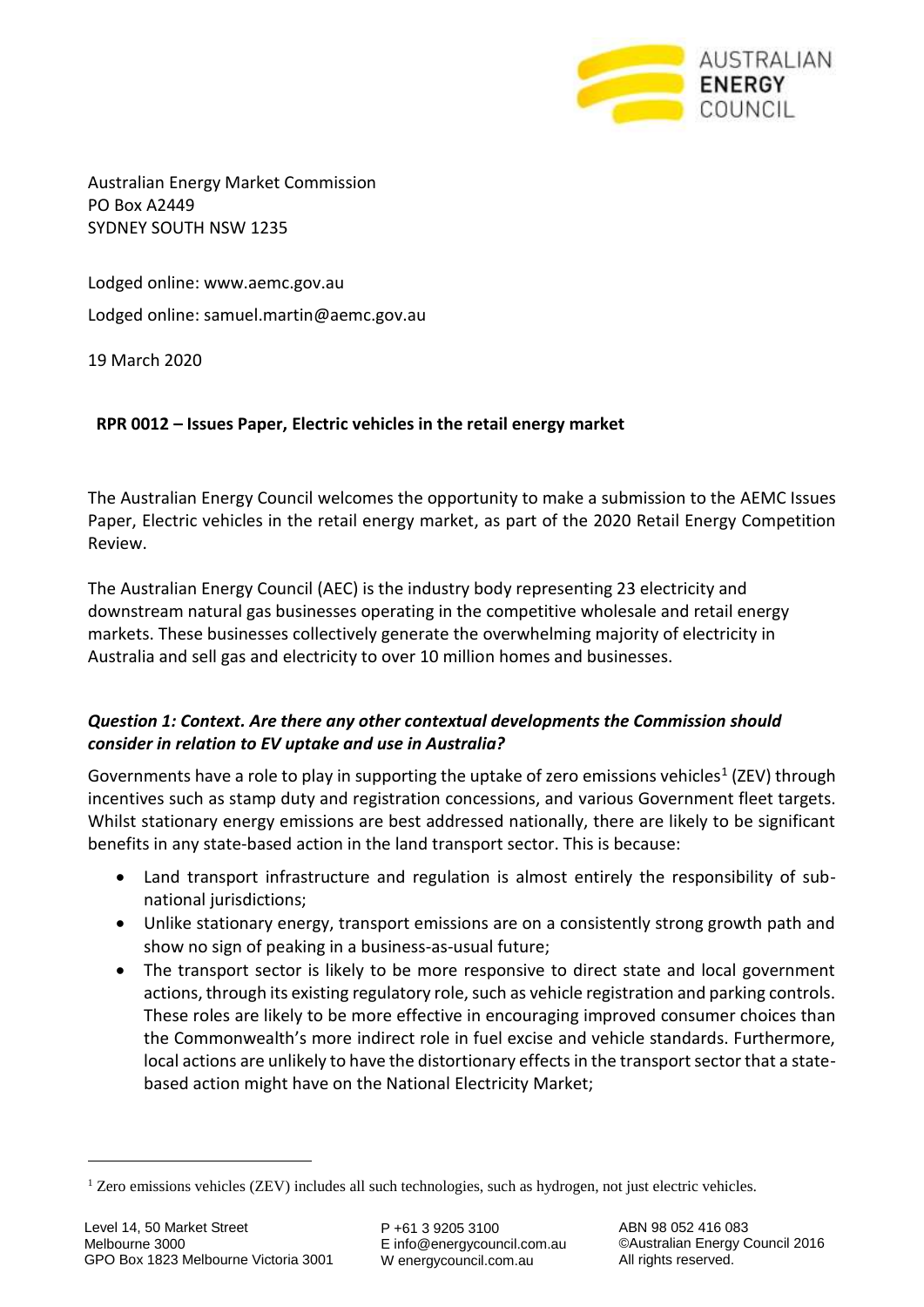

Australian Energy Market Commission PO Box A2449 SYDNEY SOUTH NSW 1235

Lodged online: [www.aemc.gov.au](http://www.aemc.gov.au/) Lodged online: samuel.martin@aemc.gov.au

19 March 2020

## **RPR 0012 – Issues Paper, Electric vehicles in the retail energy market**

The Australian Energy Council welcomes the opportunity to make a submission to the AEMC Issues Paper, Electric vehicles in the retail energy market, as part of the 2020 Retail Energy Competition Review.

The Australian Energy Council (AEC) is the industry body representing 23 electricity and downstream natural gas businesses operating in the competitive wholesale and retail energy markets. These businesses collectively generate the overwhelming majority of electricity in Australia and sell gas and electricity to over 10 million homes and businesses.

## *Question 1: Context. Are there any other contextual developments the Commission should consider in relation to EV uptake and use in Australia?*

Governments have a role to play in supporting the uptake of zero emissions vehicles<sup>1</sup> (ZEV) through incentives such as stamp duty and registration concessions, and various Government fleet targets. Whilst stationary energy emissions are best addressed nationally, there are likely to be significant benefits in any state-based action in the land transport sector. This is because:

- Land transport infrastructure and regulation is almost entirely the responsibility of subnational jurisdictions;
- Unlike stationary energy, transport emissions are on a consistently strong growth path and show no sign of peaking in a business-as-usual future;
- The transport sector is likely to be more responsive to direct state and local government actions, through its existing regulatory role, such as vehicle registration and parking controls. These roles are likely to be more effective in encouraging improved consumer choices than the Commonwealth's more indirect role in fuel excise and vehicle standards. Furthermore, local actions are unlikely to have the distortionary effects in the transport sector that a statebased action might have on the National Electricity Market;

È,

<sup>1</sup> Zero emissions vehicles (ZEV) includes all such technologies, such as hydrogen, not just electric vehicles.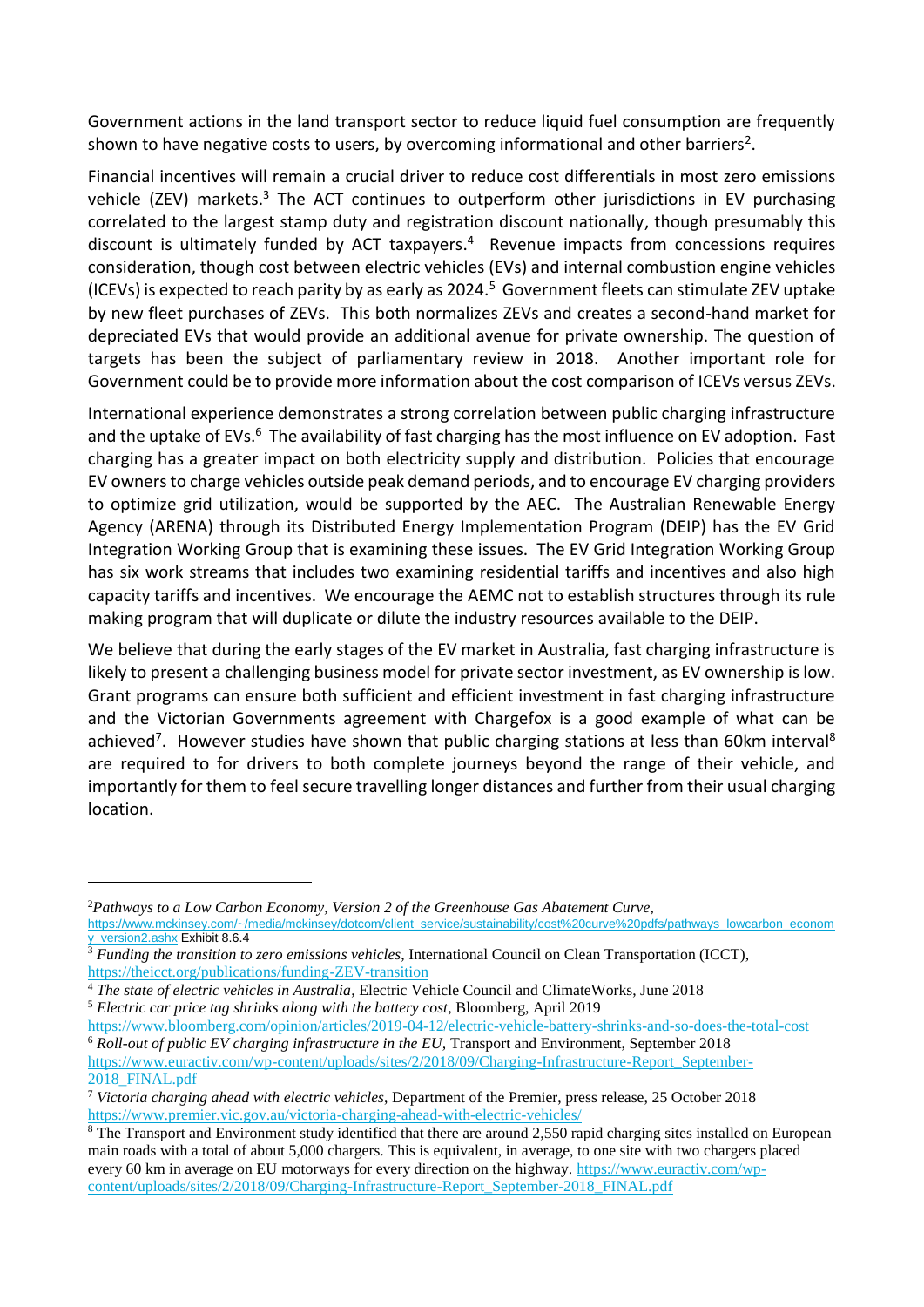Government actions in the land transport sector to reduce liquid fuel consumption are frequently shown to have negative costs to users, by overcoming informational and other barriers<sup>2</sup>.

Financial incentives will remain a crucial driver to reduce cost differentials in most zero emissions vehicle (ZEV) markets.<sup>3</sup> The ACT continues to outperform other jurisdictions in EV purchasing correlated to the largest stamp duty and registration discount nationally, though presumably this discount is ultimately funded by ACT taxpayers. 4 Revenue impacts from concessions requires consideration, though cost between electric vehicles (EVs) and internal combustion engine vehicles (ICEVs) is expected to reach parity by as early as 2024.<sup>5</sup> Government fleets can stimulate ZEV uptake by new fleet purchases of ZEVs. This both normalizes ZEVs and creates a second-hand market for depreciated EVs that would provide an additional avenue for private ownership. The question of targets has been the subject of parliamentary review in 2018. Another important role for Government could be to provide more information about the cost comparison of ICEVs versus ZEVs.

International experience demonstrates a strong correlation between public charging infrastructure and the uptake of EVs.<sup>6</sup> The availability of fast charging has the most influence on EV adoption. Fast charging has a greater impact on both electricity supply and distribution. Policies that encourage EV owners to charge vehicles outside peak demand periods, and to encourage EV charging providers to optimize grid utilization, would be supported by the AEC. The Australian Renewable Energy Agency (ARENA) through its Distributed Energy Implementation Program (DEIP) has the EV Grid Integration Working Group that is examining these issues. The EV Grid Integration Working Group has six work streams that includes two examining residential tariffs and incentives and also high capacity tariffs and incentives. We encourage the AEMC not to establish structures through its rule making program that will duplicate or dilute the industry resources available to the DEIP.

We believe that during the early stages of the EV market in Australia, fast charging infrastructure is likely to present a challenging business model for private sector investment, as EV ownership is low. Grant programs can ensure both sufficient and efficient investment in fast charging infrastructure and the Victorian Governments agreement with Chargefox is a good example of what can be achieved<sup>7</sup>. However studies have shown that public charging stations at less than 60km interval<sup>8</sup> are required to for drivers to both complete journeys beyond the range of their vehicle, and importantly for them to feel secure travelling longer distances and further from their usual charging location.

<sup>5</sup> *Electric car price tag shrinks along with the battery cost*, Bloomberg, April 2019

-

<https://www.bloomberg.com/opinion/articles/2019-04-12/electric-vehicle-battery-shrinks-and-so-does-the-total-cost> <sup>6</sup> *Roll-out of public EV charging infrastructure in the EU,* Transport and Environment, September 2018 [https://www.euractiv.com/wp-content/uploads/sites/2/2018/09/Charging-Infrastructure-Report\\_September-](https://www.euractiv.com/wp-content/uploads/sites/2/2018/09/Charging-Infrastructure-Report_September-2018_FINAL.pdf)2018 FINAL.pdf

<sup>2</sup>*Pathways to a Low Carbon Economy, Version 2 of the Greenhouse Gas Abatement Curve,*

[https://www.mckinsey.com/~/media/mckinsey/dotcom/client\\_service/sustainability/cost%20curve%20pdfs/pathways\\_lowcarbon\\_econom](https://www.mckinsey.com/~/media/mckinsey/dotcom/client_service/sustainability/cost%20curve%20pdfs/pathways_lowcarbon_economy_version2.ashx) [y\\_version2.ashx](https://www.mckinsey.com/~/media/mckinsey/dotcom/client_service/sustainability/cost%20curve%20pdfs/pathways_lowcarbon_economy_version2.ashx) Exhibit 8.6.4

<sup>&</sup>lt;sup>3</sup> *Funding the transition to zero emissions vehicles*, International Council on Clean Transportation (ICCT), <https://theicct.org/publications/funding-ZEV-transition>

<sup>4</sup> *The state of electric vehicles in Australia*, Electric Vehicle Council and ClimateWorks, June 2018

<sup>7</sup> *Victoria charging ahead with electric vehicles*, Department of the Premier, press release, 25 October 2018 <https://www.premier.vic.gov.au/victoria-charging-ahead-with-electric-vehicles/>

<sup>&</sup>lt;sup>8</sup> The Transport and Environment study identified that there are around 2,550 rapid charging sites installed on European main roads with a total of about 5,000 chargers. This is equivalent, in average, to one site with two chargers placed every 60 km in average on EU motorways for every direction on the highway. [https://www.euractiv.com/wp](https://www.euractiv.com/wp-content/uploads/sites/2/2018/09/Charging-Infrastructure-Report_September-2018_FINAL.pdf)[content/uploads/sites/2/2018/09/Charging-Infrastructure-Report\\_September-2018\\_FINAL.pdf](https://www.euractiv.com/wp-content/uploads/sites/2/2018/09/Charging-Infrastructure-Report_September-2018_FINAL.pdf)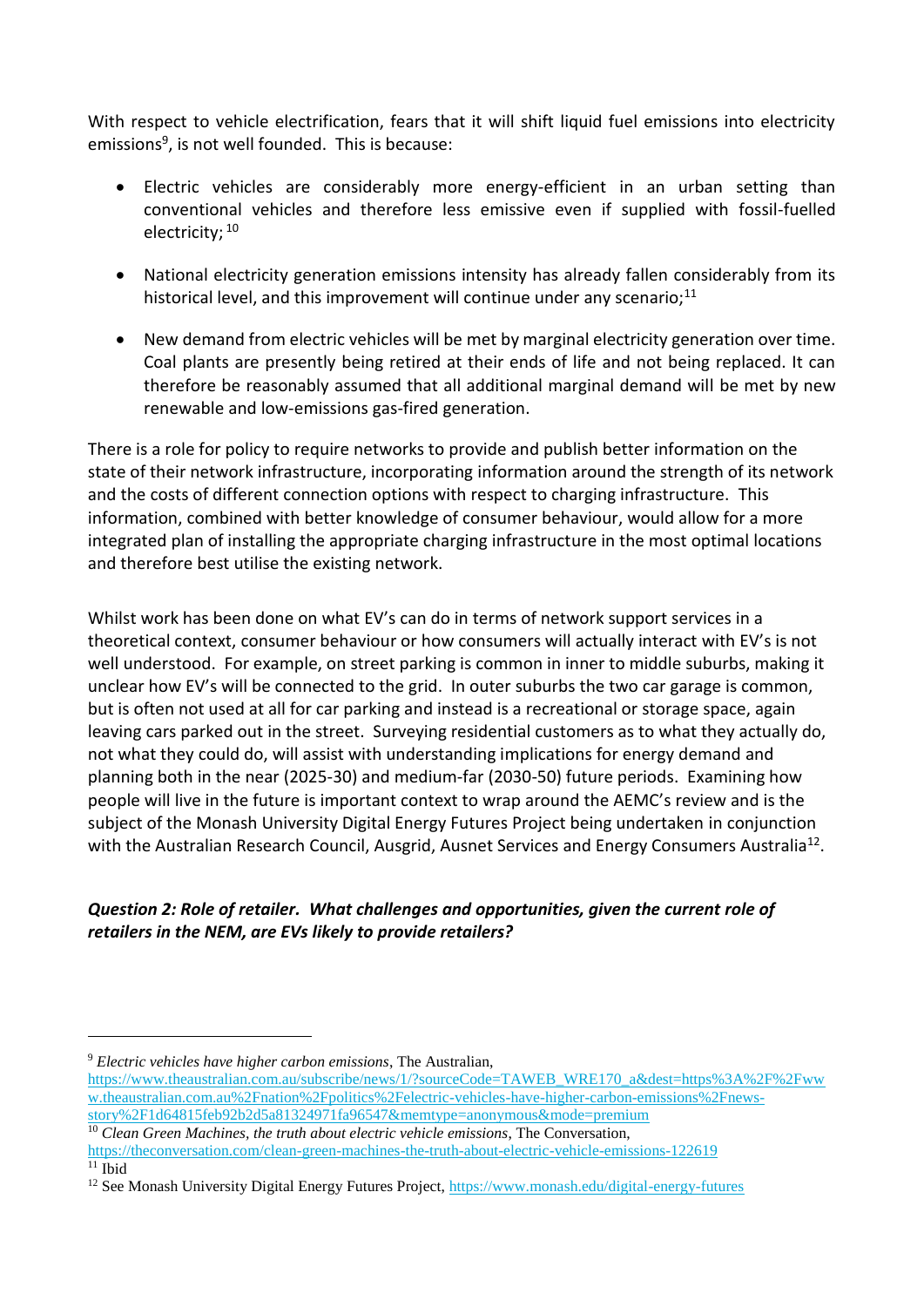With respect to vehicle electrification, fears that it will shift liquid fuel emissions into electricity emissions<sup>9</sup>, is not well founded. This is because:

- Electric vehicles are considerably more energy-efficient in an urban setting than conventional vehicles and therefore less emissive even if supplied with fossil-fuelled electricity; <sup>10</sup>
- National electricity generation emissions intensity has already fallen considerably from its historical level, and this improvement will continue under any scenario; $^{11}$
- New demand from electric vehicles will be met by marginal electricity generation over time. Coal plants are presently being retired at their ends of life and not being replaced. It can therefore be reasonably assumed that all additional marginal demand will be met by new renewable and low-emissions gas-fired generation.

There is a role for policy to require networks to provide and publish better information on the state of their network infrastructure, incorporating information around the strength of its network and the costs of different connection options with respect to charging infrastructure. This information, combined with better knowledge of consumer behaviour, would allow for a more integrated plan of installing the appropriate charging infrastructure in the most optimal locations and therefore best utilise the existing network.

Whilst work has been done on what EV's can do in terms of network support services in a theoretical context, consumer behaviour or how consumers will actually interact with EV's is not well understood. For example, on street parking is common in inner to middle suburbs, making it unclear how EV's will be connected to the grid. In outer suburbs the two car garage is common, but is often not used at all for car parking and instead is a recreational or storage space, again leaving cars parked out in the street. Surveying residential customers as to what they actually do, not what they could do, will assist with understanding implications for energy demand and planning both in the near (2025-30) and medium-far (2030-50) future periods. Examining how people will live in the future is important context to wrap around the AEMC's review and is the subject of the Monash University Digital Energy Futures Project being undertaken in conjunction with the Australian Research Council, Ausgrid, Ausnet Services and Energy Consumers Australia<sup>12</sup>.

## *Question 2: Role of retailer. What challenges and opportunities, given the current role of retailers in the NEM, are EVs likely to provide retailers?*

È,

<sup>9</sup> *Electric vehicles have higher carbon emissions*, The Australian, [https://www.theaustralian.com.au/subscribe/news/1/?sourceCode=TAWEB\\_WRE170\\_a&dest=https%3A%2F%2Fww](https://www.theaustralian.com.au/subscribe/news/1/?sourceCode=TAWEB_WRE170_a&dest=https%3A%2F%2Fwww.theaustralian.com.au%2Fnation%2Fpolitics%2Felectric-vehicles-have-higher-carbon-emissions%2Fnews-story%2F1d64815feb92b2d5a81324971fa96547&memtype=anonymous&mode=premium) [w.theaustralian.com.au%2Fnation%2Fpolitics%2Felectric-vehicles-have-higher-carbon-emissions%2Fnews](https://www.theaustralian.com.au/subscribe/news/1/?sourceCode=TAWEB_WRE170_a&dest=https%3A%2F%2Fwww.theaustralian.com.au%2Fnation%2Fpolitics%2Felectric-vehicles-have-higher-carbon-emissions%2Fnews-story%2F1d64815feb92b2d5a81324971fa96547&memtype=anonymous&mode=premium)[story%2F1d64815feb92b2d5a81324971fa96547&memtype=anonymous&mode=premium](https://www.theaustralian.com.au/subscribe/news/1/?sourceCode=TAWEB_WRE170_a&dest=https%3A%2F%2Fwww.theaustralian.com.au%2Fnation%2Fpolitics%2Felectric-vehicles-have-higher-carbon-emissions%2Fnews-story%2F1d64815feb92b2d5a81324971fa96547&memtype=anonymous&mode=premium)

<sup>&</sup>lt;sup>10</sup> *Clean Green Machines, the truth about electric vehicle emissions*, The Conversation, <https://theconversation.com/clean-green-machines-the-truth-about-electric-vehicle-emissions-122619>  $11$  Ibid

<sup>&</sup>lt;sup>12</sup> See Monash University Digital Energy Futures Project, https://www.monash.edu/digital-energy-futures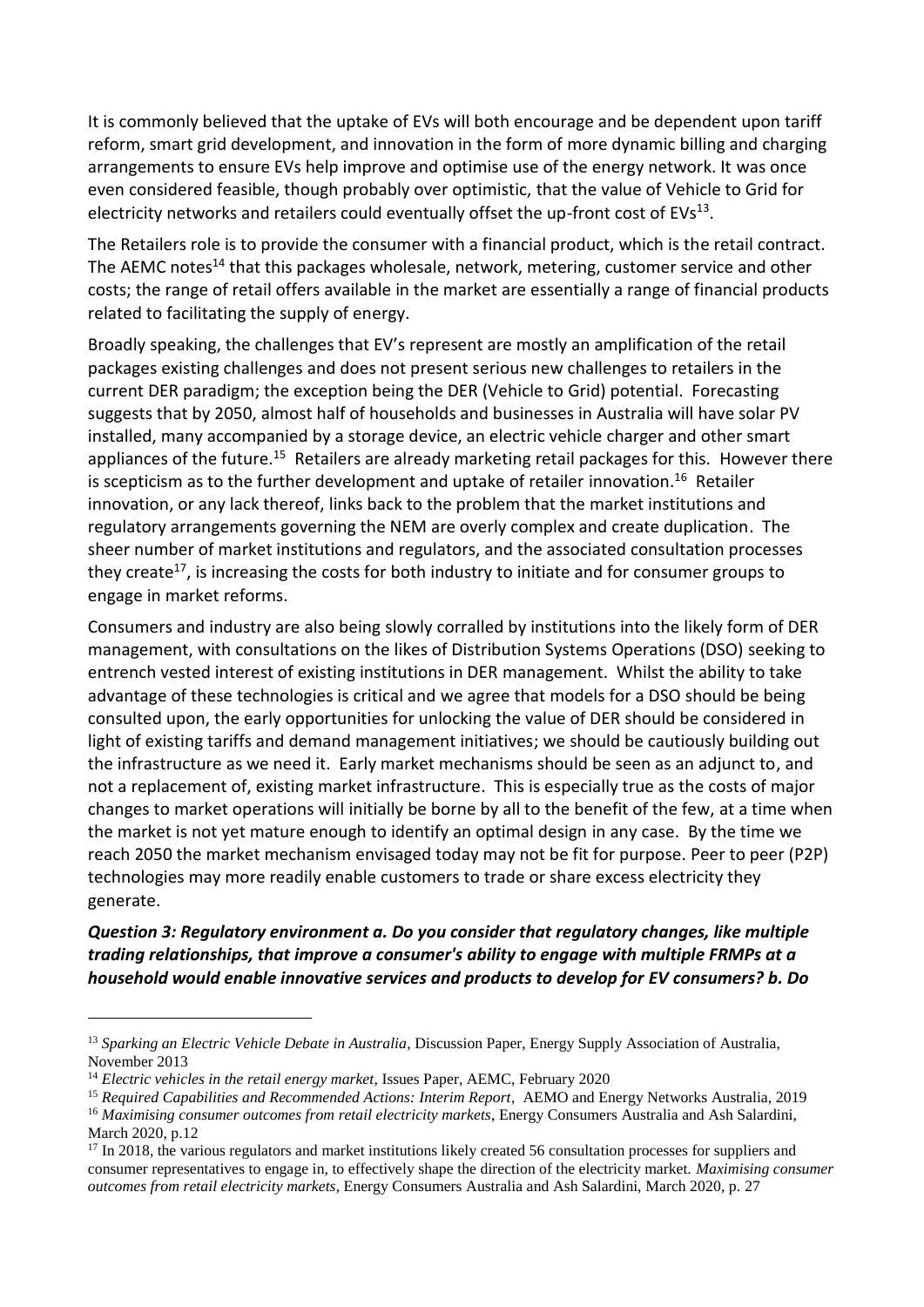It is commonly believed that the uptake of EVs will both encourage and be dependent upon tariff reform, smart grid development, and innovation in the form of more dynamic billing and charging arrangements to ensure EVs help improve and optimise use of the energy network. It was once even considered feasible, though probably over optimistic, that the value of Vehicle to Grid for electricity networks and retailers could eventually offset the up-front cost of EVs $^{13}$ .

The Retailers role is to provide the consumer with a financial product, which is the retail contract. The AEMC notes<sup>14</sup> that this packages wholesale, network, metering, customer service and other costs; the range of retail offers available in the market are essentially a range of financial products related to facilitating the supply of energy.

Broadly speaking, the challenges that EV's represent are mostly an amplification of the retail packages existing challenges and does not present serious new challenges to retailers in the current DER paradigm; the exception being the DER (Vehicle to Grid) potential. Forecasting suggests that by 2050, almost half of households and businesses in Australia will have solar PV installed, many accompanied by a storage device, an electric vehicle charger and other smart appliances of the future.<sup>15</sup> Retailers are already marketing retail packages for this. However there is scepticism as to the further development and uptake of retailer innovation.<sup>16</sup> Retailer innovation, or any lack thereof, links back to the problem that the market institutions and regulatory arrangements governing the NEM are overly complex and create duplication. The sheer number of market institutions and regulators, and the associated consultation processes they create<sup>17</sup>, is increasing the costs for both industry to initiate and for consumer groups to engage in market reforms.

Consumers and industry are also being slowly corralled by institutions into the likely form of DER management, with consultations on the likes of Distribution Systems Operations (DSO) seeking to entrench vested interest of existing institutions in DER management. Whilst the ability to take advantage of these technologies is critical and we agree that models for a DSO should be being consulted upon, the early opportunities for unlocking the value of DER should be considered in light of existing tariffs and demand management initiatives; we should be cautiously building out the infrastructure as we need it. Early market mechanisms should be seen as an adjunct to, and not a replacement of, existing market infrastructure. This is especially true as the costs of major changes to market operations will initially be borne by all to the benefit of the few, at a time when the market is not yet mature enough to identify an optimal design in any case. By the time we reach 2050 the market mechanism envisaged today may not be fit for purpose. Peer to peer (P2P) technologies may more readily enable customers to trade or share excess electricity they generate.

*Question 3: Regulatory environment a. Do you consider that regulatory changes, like multiple trading relationships, that improve a consumer's ability to engage with multiple FRMPs at a household would enable innovative services and products to develop for EV consumers? b. Do* 

-

<sup>13</sup> *Sparking an Electric Vehicle Debate in Australia,* Discussion Paper, Energy Supply Association of Australia, November 2013

<sup>14</sup> *Electric vehicles in the retail energy market*, Issues Paper, AEMC, February 2020

<sup>15</sup> *Required Capabilities and Recommended Actions: Interim Report*, AEMO and Energy Networks Australia, 2019

<sup>&</sup>lt;sup>16</sup> *Maximising consumer outcomes from retail electricity markets*, Energy Consumers Australia and Ash Salardini, March 2020, p.12

<sup>&</sup>lt;sup>17</sup> In 2018, the various regulators and market institutions likely created 56 consultation processes for suppliers and consumer representatives to engage in, to effectively shape the direction of the electricity market. *Maximising consumer outcomes from retail electricity markets*, Energy Consumers Australia and Ash Salardini, March 2020, p. 27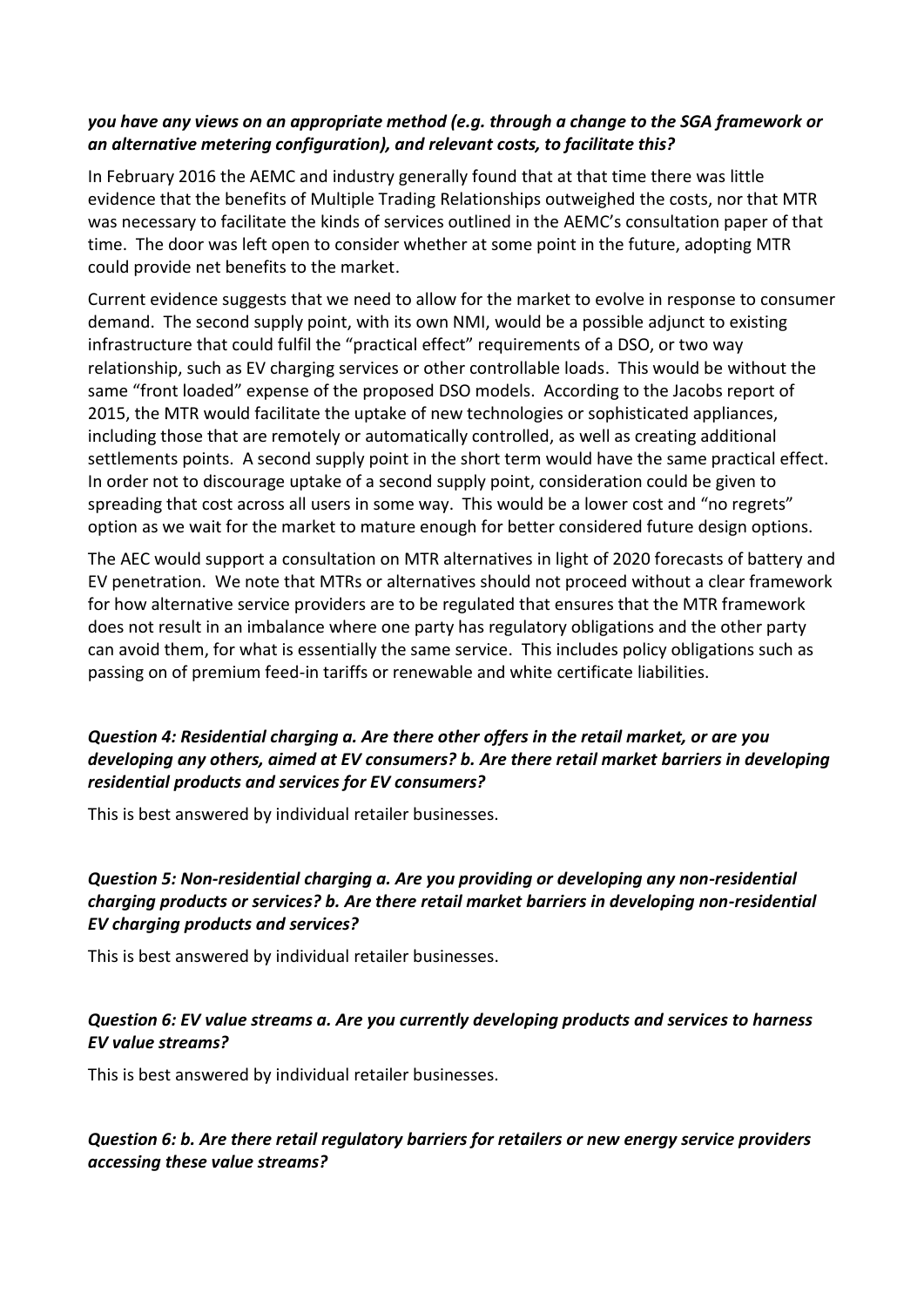#### *you have any views on an appropriate method (e.g. through a change to the SGA framework or an alternative metering configuration), and relevant costs, to facilitate this?*

In February 2016 the AEMC and industry generally found that at that time there was little evidence that the benefits of Multiple Trading Relationships outweighed the costs, nor that MTR was necessary to facilitate the kinds of services outlined in the AEMC's consultation paper of that time. The door was left open to consider whether at some point in the future, adopting MTR could provide net benefits to the market.

Current evidence suggests that we need to allow for the market to evolve in response to consumer demand. The second supply point, with its own NMI, would be a possible adjunct to existing infrastructure that could fulfil the "practical effect" requirements of a DSO, or two way relationship, such as EV charging services or other controllable loads. This would be without the same "front loaded" expense of the proposed DSO models. According to the Jacobs report of 2015, the MTR would facilitate the uptake of new technologies or sophisticated appliances, including those that are remotely or automatically controlled, as well as creating additional settlements points. A second supply point in the short term would have the same practical effect. In order not to discourage uptake of a second supply point, consideration could be given to spreading that cost across all users in some way. This would be a lower cost and "no regrets" option as we wait for the market to mature enough for better considered future design options.

The AEC would support a consultation on MTR alternatives in light of 2020 forecasts of battery and EV penetration. We note that MTRs or alternatives should not proceed without a clear framework for how alternative service providers are to be regulated that ensures that the MTR framework does not result in an imbalance where one party has regulatory obligations and the other party can avoid them, for what is essentially the same service. This includes policy obligations such as passing on of premium feed-in tariffs or renewable and white certificate liabilities.

### *Question 4: Residential charging a. Are there other offers in the retail market, or are you developing any others, aimed at EV consumers? b. Are there retail market barriers in developing residential products and services for EV consumers?*

This is best answered by individual retailer businesses.

## *Question 5: Non-residential charging a. Are you providing or developing any non-residential charging products or services? b. Are there retail market barriers in developing non-residential EV charging products and services?*

This is best answered by individual retailer businesses.

### *Question 6: EV value streams a. Are you currently developing products and services to harness EV value streams?*

This is best answered by individual retailer businesses.

# *Question 6: b. Are there retail regulatory barriers for retailers or new energy service providers accessing these value streams?*